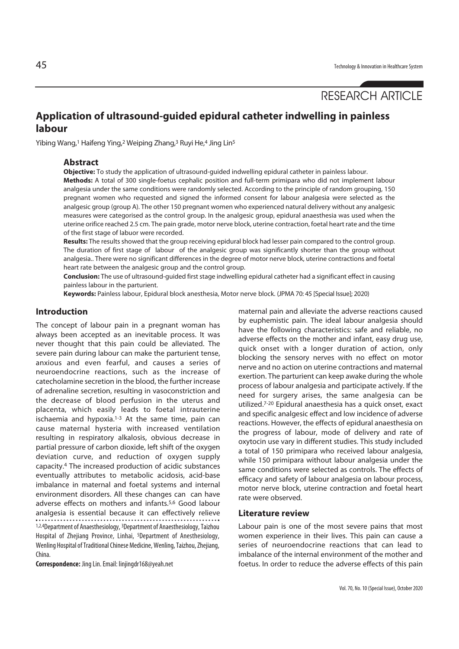# RESEARCH ARTICLE

# **Application of ultrasound-guided epidural catheter indwelling in painless labour**

Yibing Wang,<sup>1</sup> Haifeng Ying,<sup>2</sup> Weiping Zhang,<sup>3</sup> Ruyi He,<sup>4</sup> Jing Lin<sup>5</sup>

#### **Abstract**

**Objective:** To study the application of ultrasound-guided indwelling epidural catheter in painless labour.

**Methods:** A total of 300 single-foetus cephalic position and full-term primipara who did not implement labour analgesia under the same conditions were randomly selected. According to the principle of random grouping, 150 pregnant women who requested and signed the informed consent for labour analgesia were selected as the analgesic group (group A). The other 150 pregnant women who experienced natural delivery without any analgesic measures were categorised as the control group. In the analgesic group, epidural anaesthesia was used when the uterine orifice reached 2.5 cm. The pain grade, motor nerve block, uterine contraction, foetal heart rate and the time of the first stage of labuor were recorded.

**Results:** The results showed that the group receiving epidural block had lesser pain compared to the control group. The duration of first stage of labour of the analgesic group was significantly shorter than the group without analgesia.. There were no significant differences in the degree of motor nerve block, uterine contractions and foetal heart rate between the analgesic group and the control group.

**Conclusion:** The use of ultrasound-guided first stage indwelling epidural catheter had a significant effect in causing painless labour in the parturient.

**Keywords:** Painless labour, Epidural block anesthesia, Motor nerve block. (JPMA 70: 45 [Special Issue]; 2020)

### **Introduction**

The concept of labour pain in a pregnant woman has always been accepted as an inevitable process. It was never thought that this pain could be alleviated. The severe pain during labour can make the parturient tense, anxious and even fearful, and causes a series of neuroendocrine reactions, such as the increase of catecholamine secretion in the blood, the further increase of adrenaline secretion, resulting in vasoconstriction and the decrease of blood perfusion in the uterus and placenta, which easily leads to foetal intrauterine ischaemia and hypoxia.<sup>1-3</sup> At the same time, pain can cause maternal hysteria with increased ventilation resulting in respiratory alkalosis, obvious decrease in partial pressure of carbon dioxide, left shift of the oxygen deviation curve, and reduction of oxygen supply capacity.4 The increased production of acidic substances eventually attributes to metabolic acidosis, acid-base imbalance in maternal and foetal systems and internal environment disorders. All these changes can can have adverse effects on mothers and infants.5,6 Good labour analgesia is essential because it can effectively relieve 1,2,4Department of Anaesthesiology, <sup>3</sup>Department of Anaesthesiology, Taizhou Hospital of Zhejiang Province, Linhai, 5Department of Anesthesiology, Wenling Hospital of Traditional Chinese Medicine, Wenling, Taizhou, Zhejiang, China.

**Correspondence:** Jing Lin. Email: linjingdr168@yeah.net

maternal pain and alleviate the adverse reactions caused by euphemistic pain. The ideal labour analgesia should have the following characteristics: safe and reliable, no adverse effects on the mother and infant, easy drug use, quick onset with a longer duration of action, only blocking the sensory nerves with no effect on motor nerve and no action on uterine contractions and maternal exertion. The parturient can keep awake during the whole process of labour analgesia and participate actively. If the need for surgery arises, the same analgesia can be utilized.7-20 Epidural anaesthesia has a quick onset, exact and specific analgesic effect and low incidence of adverse reactions. However, the effects of epidural anaesthesia on the progress of labour, mode of delivery and rate of oxytocin use vary in different studies. This study included a total of 150 primipara who received labour analgesia, while 150 primipara without labour analgesia under the same conditions were selected as controls. The effects of efficacy and safety of labour analgesia on labour process, motor nerve block, uterine contraction and foetal heart rate were observed.

#### **Literature review**

Labour pain is one of the most severe pains that most women experience in their lives. This pain can cause a series of neuroendocrine reactions that can lead to imbalance of the internal environment of the mother and foetus. In order to reduce the adverse effects of this pain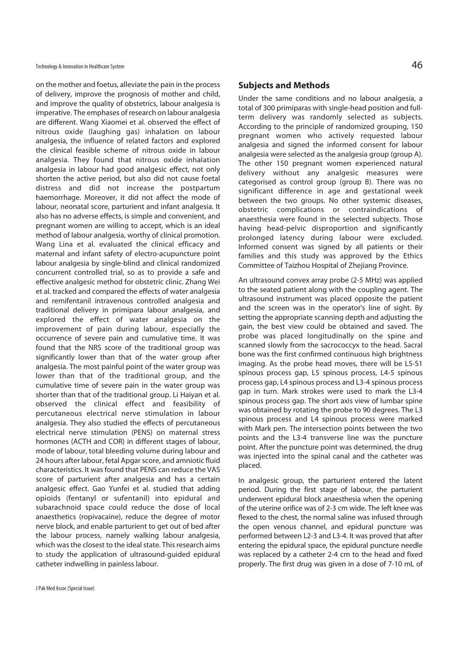on the mother and foetus, alleviate the pain in the process of delivery, improve the prognosis of mother and child, and improve the quality of obstetrics, labour analgesia is imperative. The emphases of research on labour analgesia are different. Wang Xiaomei et al. observed the effect of nitrous oxide (laughing gas) inhalation on labour analgesia, the influence of related factors and explored the clinical feasible scheme of nitrous oxide in labour analgesia. They found that nitrous oxide inhalation analgesia in labour had good analgesic effect, not only shorten the active period, but also did not cause foetal distress and did not increase the postpartum haemorrhage. Moreover, it did not affect the mode of labour, neonatal score, parturient and infant analgesia. It also has no adverse effects, is simple and convenient, and pregnant women are willing to accept, which is an ideal method of labour analgesia, worthy of clinical promotion. Wang Lina et al. evaluated the clinical efficacy and maternal and infant safety of electro-acupuncture point labour analgesia by single-blind and clinical randomized concurrent controlled trial, so as to provide a safe and effective analgesic method for obstetric clinic. Zhang Wei et al. tracked and compared the effects of water analgesia and remifentanil intravenous controlled analgesia and traditional delivery in primipara labour analgesia, and explored the effect of water analgesia on the improvement of pain during labour, especially the occurrence of severe pain and cumulative time. It was found that the NRS score of the traditional group was significantly lower than that of the water group after analgesia. The most painful point of the water group was lower than that of the traditional group, and the cumulative time of severe pain in the water group was shorter than that of the traditional group. Li Haiyan et al. observed the clinical effect and feasibility of percutaneous electrical nerve stimulation in labour analgesia. They also studied the effects of percutaneous electrical nerve stimulation (PENS) on maternal stress hormones (ACTH and COR) in different stages of labour, mode of labour, total bleeding volume during labour and 24 hours after labour, fetal Apgar score, and amniotic fluid characteristics. It was found that PENS can reduce the VAS score of parturient after analgesia and has a certain analgesic effect. Gao Yunfei et al. studied that adding opioids (fentanyl or sufentanil) into epidural and subarachnoid space could reduce the dose of local anaesthetics (ropivacaine), reduce the degree of motor nerve block, and enable parturient to get out of bed after the labour process, namely walking labour analgesia, which was the closest to the ideal state. This research aims to study the application of ultrasound-guided epidural catheter indwelling in painless labour.

# **Subjects and Methods**

Under the same conditions and no labour analgesia, a total of 300 primiparas with single-head position and fullterm delivery was randomly selected as subjects. According to the principle of randomized grouping, 150 pregnant women who actively requested labour analgesia and signed the informed consent for labour analgesia were selected as the analgesia group (group A). The other 150 pregnant women experienced natural delivery without any analgesic measures were categorised as control group (group B). There was no significant difference in age and gestational week between the two groups. No other systemic diseases, obstetric complications or contraindications of anaesthesia were found in the selected subjects. Those having head-pelvic disproportion and significantly prolonged latency during labour were excluded. Informed consent was signed by all patients or their families and this study was approved by the Ethics Committee of Taizhou Hospital of Zhejiang Province.

An ultrasound convex array probe (2-5 MHz) was applied to the seated patient along with the coupling agent. The ultrasound instrument was placed opposite the patient and the screen was in the operator's line of sight. By setting the appropriate scanning depth and adjusting the gain, the best view could be obtained and saved. The probe was placed longitudinally on the spine and scanned slowly from the sacrococcyx to the head. Sacral bone was the first confirmed continuous high brightness imaging. As the probe head moves, there will be L5-S1 spinous process gap, L5 spinous process, L4-5 spinous process gap, L4 spinous process and L3-4 spinous process gap in turn. Mark strokes were used to mark the L3-4 spinous process gap. The short axis view of lumbar spine was obtained by rotating the probe to 90 degrees. The L3 spinous process and L4 spinous process were marked with Mark pen. The intersection points between the two points and the L3-4 transverse line was the puncture point. After the puncture point was determined, the drug was injected into the spinal canal and the catheter was placed.

In analgesic group, the parturient entered the latent period. During the first stage of labour, the parturient underwent epidural block anaesthesia when the opening of the uterine orifice was of 2-3 cm wide. The left knee was flexed to the chest, the normal saline was infused through the open venous channel, and epidural puncture was performed between L2-3 and L3-4. It was proved that after entering the epidural space, the epidural puncture needle was replaced by a catheter 2-4 cm to the head and fixed properly. The first drug was given in a dose of 7-10 mL of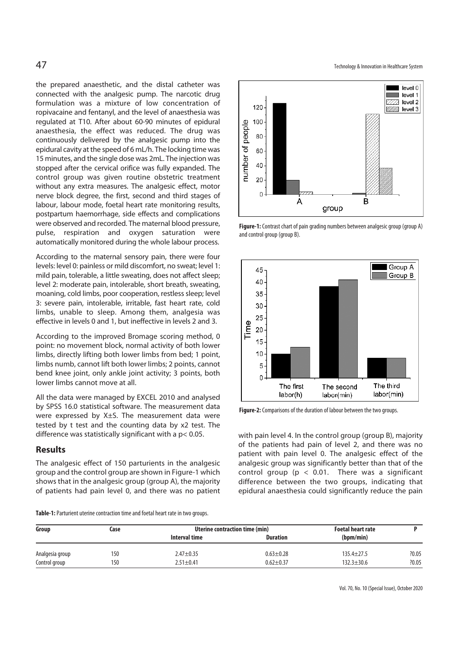the prepared anaesthetic, and the distal catheter was connected with the analgesic pump. The narcotic drug formulation was a mixture of low concentration of ropivacaine and fentanyl, and the level of anaesthesia was regulated at T10. After about 60-90 minutes of epidural anaesthesia, the effect was reduced. The drug was continuously delivered by the analgesic pump into the epidural cavity at the speed of 6 mL/h. The locking time was 15 minutes, and the single dose was 2mL. The injection was stopped after the cervical orifice was fully expanded. The control group was given routine obstetric treatment without any extra measures. The analgesic effect, motor nerve block degree, the first, second and third stages of labour, labour mode, foetal heart rate monitoring results, postpartum haemorrhage, side effects and complications were observed and recorded. The maternal blood pressure, pulse, respiration and oxygen saturation were automatically monitored during the whole labour process.

According to the maternal sensory pain, there were four levels: level 0: painless or mild discomfort, no sweat; level 1: mild pain, tolerable, a little sweating, does not affect sleep; level 2: moderate pain, intolerable, short breath, sweating, moaning, cold limbs, poor cooperation, restless sleep; level 3: severe pain, intolerable, irritable, fast heart rate, cold limbs, unable to sleep. Among them, analgesia was effective in levels 0 and 1, but ineffective in levels 2 and 3.

According to the improved Bromage scoring method, 0 point: no movement block, normal activity of both lower limbs, directly lifting both lower limbs from bed; 1 point, limbs numb, cannot lift both lower limbs; 2 points, cannot bend knee joint, only ankle joint activity; 3 points, both lower limbs cannot move at all.

All the data were managed by EXCEL 2010 and analysed by SPSS 16.0 statistical software. The measurement data were expressed by X±S. The measurement data were tested by t test and the counting data by x2 test. The difference was statistically significant with a p< 0.05.

### **Results**

The analgesic effect of 150 parturients in the analgesic group and the control group are shown in Figure-1 which shows that in the analgesic group (group A), the majority of patients had pain level 0, and there was no patient

 $47 \,$  Technology & Innovation in Healthcare System



**Figure-1:** Contrast chart of pain grading numbers between analgesic group (group A) and control group (group B).



**Figure-2:** Comparisons of the duration of labour between the two groups.

with pain level 4. In the control group (group B), majority of the patients had pain of level 2, and there was no patient with pain level 0. The analgesic effect of the analgesic group was significantly better than that of the control group ( $p < 0.01$ . There was a significant difference between the two groups, indicating that epidural anaesthesia could significantly reduce the pain

**Table-1:** Parturient uterine contraction time and foetal heart rate in two groups.

| Group           | Case | Uterine contraction time (min) |                 | <b>Foetal heart rate</b> |       |
|-----------------|------|--------------------------------|-----------------|--------------------------|-------|
|                 |      | Interval time                  | <b>Duration</b> | (bpm/min)                |       |
| Analgesia group | 150  | $2.47 \pm 0.35$                | $0.63 \pm 0.28$ | $135.4 \pm 27.5$         | ?0.05 |
| Control group   | 150  | $2.51 \pm 0.41$                | $0.62 \pm 0.37$ | $132.3 \pm 30.6$         | ?0.05 |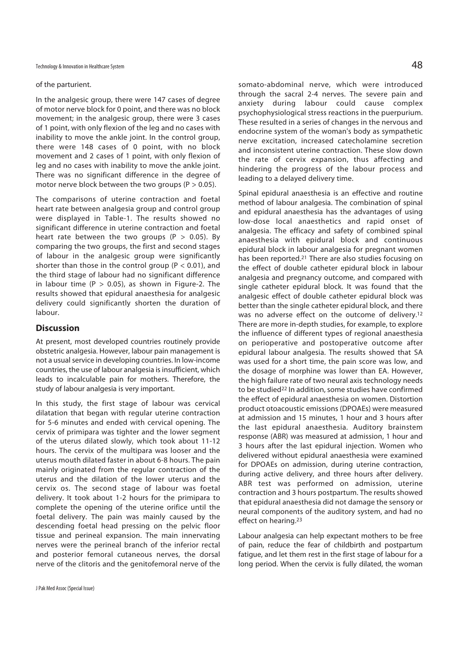#### of the parturient.

In the analgesic group, there were 147 cases of degree of motor nerve block for 0 point, and there was no block movement; in the analgesic group, there were 3 cases of 1 point, with only flexion of the leg and no cases with inability to move the ankle joint. In the control group, there were 148 cases of 0 point, with no block movement and 2 cases of 1 point, with only flexion of leg and no cases with inability to move the ankle joint. There was no significant difference in the degree of motor nerve block between the two groups ( $P > 0.05$ ).

The comparisons of uterine contraction and foetal heart rate between analgesia group and control group were displayed in Table-1. The results showed no significant difference in uterine contraction and foetal heart rate between the two groups ( $P > 0.05$ ). By comparing the two groups, the first and second stages of labour in the analgesic group were significantly shorter than those in the control group ( $P < 0.01$ ), and the third stage of labour had no significant difference in labour time ( $P > 0.05$ ), as shown in Figure-2. The results showed that epidural anaesthesia for analgesic delivery could significantly shorten the duration of labour.

#### **Discussion**

At present, most developed countries routinely provide obstetric analgesia. However, labour pain management is not a usual service in developing countries. In low-income countries, the use of labour analgesia is insufficient, which leads to incalculable pain for mothers. Therefore, the study of labour analgesia is very important.

In this study, the first stage of labour was cervical dilatation that began with regular uterine contraction for 5-6 minutes and ended with cervical opening. The cervix of primipara was tighter and the lower segment of the uterus dilated slowly, which took about 11-12 hours. The cervix of the multipara was looser and the uterus mouth dilated faster in about 6-8 hours. The pain mainly originated from the regular contraction of the uterus and the dilation of the lower uterus and the cervix os. The second stage of labour was foetal delivery. It took about 1-2 hours for the primipara to complete the opening of the uterine orifice until the foetal delivery. The pain was mainly caused by the descending foetal head pressing on the pelvic floor tissue and perineal expansion. The main innervating nerves were the perineal branch of the inferior rectal and posterior femoral cutaneous nerves, the dorsal nerve of the clitoris and the genitofemoral nerve of the

somato-abdominal nerve, which were introduced through the sacral 2-4 nerves. The severe pain and anxiety during labour could cause complex psychophysiological stress reactions in the puerpurium. These resulted in a series of changes in the nervous and endocrine system of the woman's body as sympathetic nerve excitation, increased catecholamine secretion and inconsistent uterine contraction. These slow down the rate of cervix expansion, thus affecting and hindering the progress of the labour process and leading to a delayed delivery time.

Spinal epidural anaesthesia is an effective and routine method of labour analgesia. The combination of spinal and epidural anaesthesia has the advantages of using low-dose local anaesthetics and rapid onset of analgesia. The efficacy and safety of combined spinal anaesthesia with epidural block and continuous epidural block in labour analgesia for pregnant women has been reported.21 There are also studies focusing on the effect of double catheter epidural block in labour analgesia and pregnancy outcome, and compared with single catheter epidural block. It was found that the analgesic effect of double catheter epidural block was better than the single catheter epidural block, and there was no adverse effect on the outcome of delivery.<sup>12</sup> There are more in-depth studies, for example, to explore the influence of different types of regional anaesthesia on perioperative and postoperative outcome after epidural labour analgesia. The results showed that SA was used for a short time, the pain score was low, and the dosage of morphine was lower than EA. However, the high failure rate of two neural axis technology needs to be studied22 In addition, some studies have confirmed the effect of epidural anaesthesia on women. Distortion product otoacoustic emissions (DPOAEs) were measured at admission and 15 minutes, 1 hour and 3 hours after the last epidural anaesthesia. Auditory brainstem response (ABR) was measured at admission, 1 hour and 3 hours after the last epidural injection. Women who delivered without epidural anaesthesia were examined for DPOAEs on admission, during uterine contraction, during active delivery, and three hours after delivery. ABR test was performed on admission, uterine contraction and 3 hours postpartum. The results showed that epidural anaesthesia did not damage the sensory or neural components of the auditory system, and had no effect on hearing.23

Labour analgesia can help expectant mothers to be free of pain, reduce the fear of childbirth and postpartum fatigue, and let them rest in the first stage of labour for a long period. When the cervix is fully dilated, the woman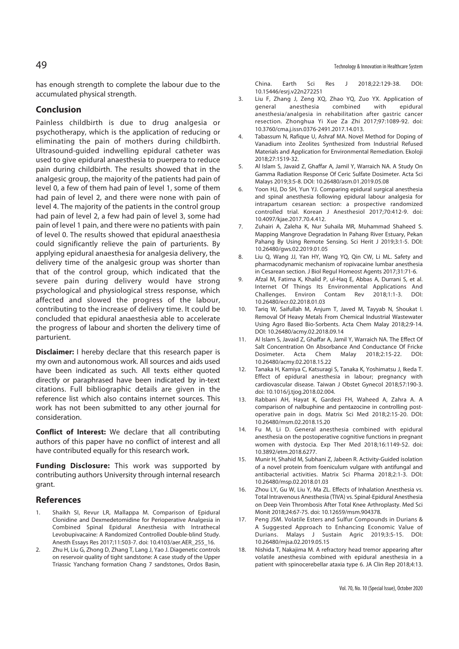has enough strength to complete the labour due to the accumulated physical strength.

## **Conclusion**

Painless childbirth is due to drug analgesia or psychotherapy, which is the application of reducing or eliminating the pain of mothers during childbirth. Ultrasound-guided indwelling epidural catheter was used to give epidural anaesthesia to puerpera to reduce pain during childbirth. The results showed that in the analgesic group, the majority of the patients had pain of level 0, a few of them had pain of level 1, some of them had pain of level 2, and there were none with pain of level 4. The majority of the patients in the control group had pain of level 2, a few had pain of level 3, some had pain of level 1 pain, and there were no patients with pain of level 0. The results showed that epidural anaesthesia could significantly relieve the pain of parturients. By applying epidural anaesthesia for analgesia delivery, the delivery time of the analgesic group was shorter than that of the control group, which indicated that the severe pain during delivery would have strong psychological and physiological stress response, which affected and slowed the progress of the labour, contributing to the increase of delivery time. It could be concluded that epidural anaesthesia able to accelerate the progress of labour and shorten the delivery time of parturient.

**Disclaimer:** I hereby declare that this research paper is my own and autonomous work. All sources and aids used have been indicated as such. All texts either quoted directly or paraphrased have been indicated by in-text citations. Full bibliographic details are given in the reference list which also contains internet sources. This work has not been submitted to any other journal for consideration.

**Conflict of Interest:** We declare that all contributing authors of this paper have no conflict of interest and all have contributed equally for this research work.

**Funding Disclosure:** This work was supported by contributing authors University through internal research grant.

#### **References**

- 1. Shaikh SI, Revur LR, Mallappa M. Comparison of Epidural Clonidine and Dexmedetomidine for Perioperative Analgesia in Combined Spinal Epidural Anesthesia with Intrathecal Levobupivacaine: A Randomized Controlled Double-blind Study. Anesth Essays Res 2017;11:503-7. doi: 10.4103/aer.AER\_255\_16.
- 2. Zhu H, Liu G, Zhong D, Zhang T, Lang J, Yao J. Diagenetic controls on reservoir quality of tight sandstone: A case study of the Upper Triassic Yanchang formation Chang 7 sandstones, Ordos Basin,

China. Earth Sci Res J 2018;22:129-38. DOI: 10.15446/esrj.v22n272251

- 3. Liu F, Zhang J, Zeng XQ, Zhao YQ, Zuo YX. Application of general anesthesia combined with epidural anesthesia/analgesia in rehabilitation after gastric cancer resection. Zhonghua Yi Xue Za Zhi 2017;97:1089-92. doi: 10.3760/cma.j.issn.0376-2491.2017.14.013.
- 4. Tabassum N, Rafique U, Ashraf MA. Novel Method for Doping of Vanadium into Zeolites Synthesized from Industrial Refused Materials and Application for Environmental Remediation. Ekoloji 2018;27:1519-32.
- 5. Al Islam S, Javaid Z, Ghaffar A, Jamil Y, Warraich NA. A Study On Gamma Radiation Response Of Ceric Sulfate Dosimeter. Acta Sci Malays 2019;3:5-8. DOI: 10.26480/asm.01.2019.05.08
- 6. Yoon HJ, Do SH, Yun YJ. Comparing epidural surgical anesthesia and spinal anesthesia following epidural labour analgesia for intrapartum cesarean section: a prospective randomized controlled trial. Korean J Anesthesiol 2017;70:412-9. doi: 10.4097/kjae.2017.70.4.412.
- 7. Zuhairi A, Zaleha K, Nur Suhaila MR, Muhammad Shaheed S. Mapping Mangrove Degradation In Pahang River Estuary, Pekan Pahang By Using Remote Sensing. Sci Herit J 2019;3:1-5. DOI: 10.26480/gws.02.2019.01.05
- 8. Liu Q, Wang JJ, Yan HY, Wang YQ, Qin CW, Li ML. Safety and pharmacodynamic mechanism of ropivacaine lumbar anesthesia in Cesarean section. J Biol Regul Homeost Agents 2017;31:71-6.
- 9. Afzal M, Fatima K, Khalid P, ul-Haq E, Abbas A, Durrani S, et al. Internet Of Things Its Environmental Applications And Challenges. Environ Contam Rev 2018;1:1-3. DOI: 10.26480/ecr.02.2018.01.03
- 10. Tariq W, Saifullah M, Anjum T, Javed M, Tayyab N, Shoukat I. Removal Of Heavy Metals From Chemical Industrial Wastewater Using Agro Based Bio-Sorbents. Acta Chem Malay 2018;2:9-14. DOI: 10.26480/acmy.02.2018.09.14
- 11. Al Islam S, Javaid Z, Ghaffar A, Jamil Y, Warraich NA. The Effect Of Salt Concentration On Absorbance And Conductance Of Fricke Dosimeter. Acta Chem Malay 2018;2:15-22. DOI: 10.26480/acmy.02.2018.15.22
- 12. Tanaka H, Kamiya C, Katsuragi S, Tanaka K, Yoshimatsu J, Ikeda T. Effect of epidural anesthesia in labour; pregnancy with cardiovascular disease. Taiwan J Obstet Gynecol 2018;57:190-3. doi: 10.1016/j.tjog.2018.02.004.
- 13. Rabbani AH, Hayat K, Gardezi FH, Waheed A, Zahra A. A comparison of nalbuphine and pentazocine in controlling postoperative pain in dogs. Matrix Sci Med 2018;2:15-20. DOI: 10.26480/msm.02.2018.15.20
- 14. Fu M, Li D. General anesthesia combined with epidural anesthesia on the postoperative cognitive functions in pregnant women with dystocia. Exp Ther Med 2018;16:1149-52. doi: 10.3892/etm.2018.6277.
- 15. Munir H, Shahid M, Subhani Z, Jabeen R. Activity-Guided isolation of a novel protein from foeniculum vulgare with antifungal and antibacterial activities. Matrix Sci Pharma 2018;2:1-3. DOI: 10.26480/msp.02.2018.01.03
- 16. Zhou LY, Gu W, Liu Y, Ma ZL. Effects of Inhalation Anesthesia vs. Total Intravenous Anesthesia (TIVA) vs. Spinal-Epidural Anesthesia on Deep Vein Thrombosis After Total Knee Arthroplasty. Med Sci Monit 2018;24:67-75. doi: 10.12659/msm.904378.
- 17. Peng JSM. Volatile Esters and Sulfur Compounds in Durians & A Suggested Approach to Enhancing Economic Value of Durians. Malays J Sustain Agric 2019;3:5-15. DOI: 10.26480/mjsa.02.2019.05.15
- 18. Nishida T, Nakajima M. A refractory head tremor appearing after volatile anesthesia combined with epidural anesthesia in a patient with spinocerebellar ataxia type 6. JA Clin Rep 2018;4:13.